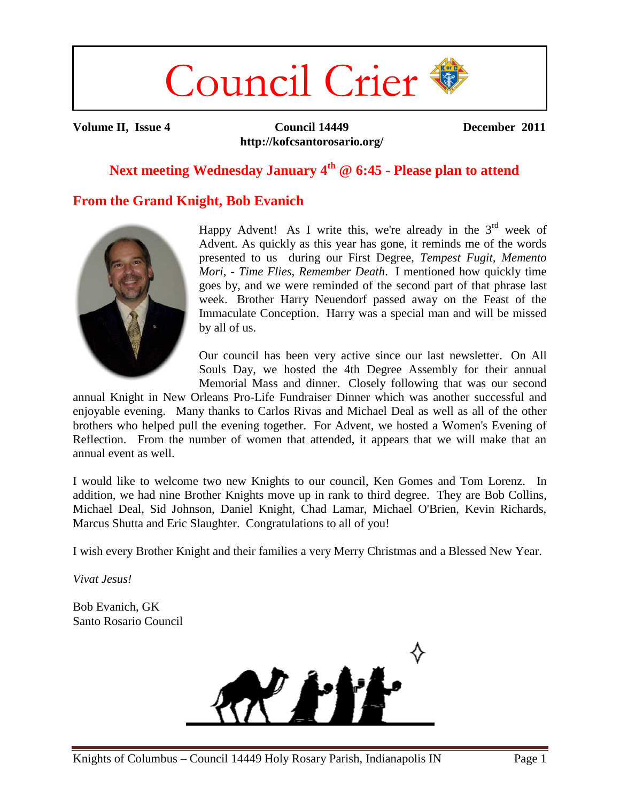# Council Crier

**Volume II, Issue 4 Council 14449 http://kofcsantorosario.org/** **December 2011**

# **Next meeting Wednesday January 4th @ 6:45 - Please plan to attend**

## **From the Grand Knight, Bob Evanich**



Happy Advent! As I write this, we're already in the  $3<sup>rd</sup>$  week of Advent. As quickly as this year has gone, it reminds me of the words presented to us during our First Degree, *Tempest Fugit, Memento Mori, - Time Flies, Remember Death*. I mentioned how quickly time goes by, and we were reminded of the second part of that phrase last week. Brother Harry Neuendorf passed away on the Feast of the Immaculate Conception. Harry was a special man and will be missed by all of us.

Our council has been very active since our last newsletter. On All Souls Day, we hosted the 4th Degree Assembly for their annual Memorial Mass and dinner. Closely following that was our second

annual Knight in New Orleans Pro-Life Fundraiser Dinner which was another successful and enjoyable evening. Many thanks to Carlos Rivas and Michael Deal as well as all of the other brothers who helped pull the evening together. For Advent, we hosted a Women's Evening of Reflection. From the number of women that attended, it appears that we will make that an annual event as well.

I would like to welcome two new Knights to our council, Ken Gomes and Tom Lorenz. In addition, we had nine Brother Knights move up in rank to third degree. They are Bob Collins, Michael Deal, Sid Johnson, Daniel Knight, Chad Lamar, Michael O'Brien, Kevin Richards, Marcus Shutta and Eric Slaughter. Congratulations to all of you!

I wish every Brother Knight and their families a very Merry Christmas and a Blessed New Year.

*Vivat Jesus!*

Bob Evanich, GK Santo Rosario Council

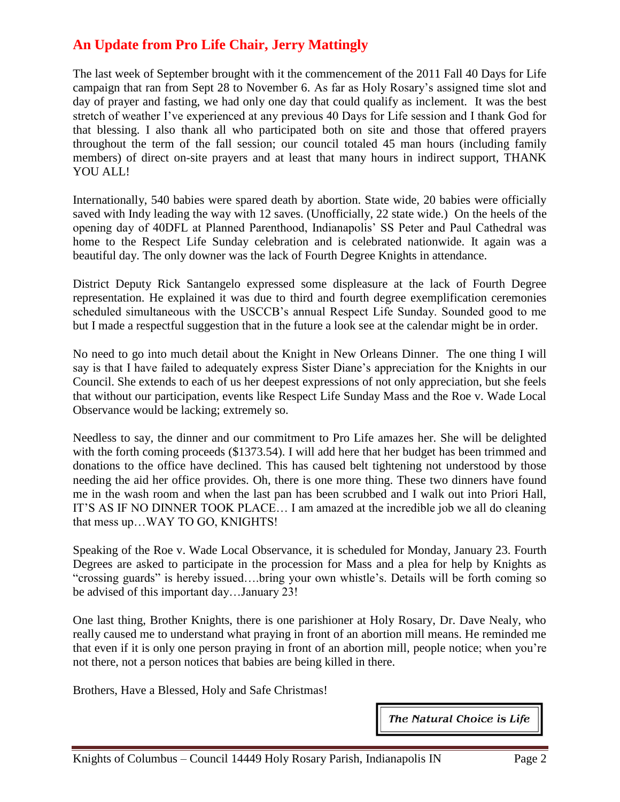# **An Update from Pro Life Chair, Jerry Mattingly**

The last week of September brought with it the commencement of the 2011 Fall 40 Days for Life campaign that ran from Sept 28 to November 6. As far as Holy Rosary's assigned time slot and day of prayer and fasting, we had only one day that could qualify as inclement. It was the best stretch of weather I've experienced at any previous 40 Days for Life session and I thank God for that blessing. I also thank all who participated both on site and those that offered prayers throughout the term of the fall session; our council totaled 45 man hours (including family members) of direct on-site prayers and at least that many hours in indirect support, THANK YOU ALL!

Internationally, 540 babies were spared death by abortion. State wide, 20 babies were officially saved with Indy leading the way with 12 saves. (Unofficially, 22 state wide.) On the heels of the opening day of 40DFL at Planned Parenthood, Indianapolis' SS Peter and Paul Cathedral was home to the Respect Life Sunday celebration and is celebrated nationwide. It again was a beautiful day. The only downer was the lack of Fourth Degree Knights in attendance.

District Deputy Rick Santangelo expressed some displeasure at the lack of Fourth Degree representation. He explained it was due to third and fourth degree exemplification ceremonies scheduled simultaneous with the USCCB's annual Respect Life Sunday. Sounded good to me but I made a respectful suggestion that in the future a look see at the calendar might be in order.

No need to go into much detail about the Knight in New Orleans Dinner. The one thing I will say is that I have failed to adequately express Sister Diane's appreciation for the Knights in our Council. She extends to each of us her deepest expressions of not only appreciation, but she feels that without our participation, events like Respect Life Sunday Mass and the Roe v. Wade Local Observance would be lacking; extremely so.

Needless to say, the dinner and our commitment to Pro Life amazes her. She will be delighted with the forth coming proceeds (\$1373.54). I will add here that her budget has been trimmed and donations to the office have declined. This has caused belt tightening not understood by those needing the aid her office provides. Oh, there is one more thing. These two dinners have found me in the wash room and when the last pan has been scrubbed and I walk out into Priori Hall, IT'S AS IF NO DINNER TOOK PLACE… I am amazed at the incredible job we all do cleaning that mess up…WAY TO GO, KNIGHTS!

Speaking of the Roe v. Wade Local Observance, it is scheduled for Monday, January 23. Fourth Degrees are asked to participate in the procession for Mass and a plea for help by Knights as "crossing guards" is hereby issued....bring your own whistle's. Details will be forth coming so be advised of this important day…January 23!

One last thing, Brother Knights, there is one parishioner at Holy Rosary, Dr. Dave Nealy, who really caused me to understand what praying in front of an abortion mill means. He reminded me that even if it is only one person praying in front of an abortion mill, people notice; when you're not there, not a person notices that babies are being killed in there.

Brothers, Have a Blessed, Holy and Safe Christmas!

The Natural Choice is Life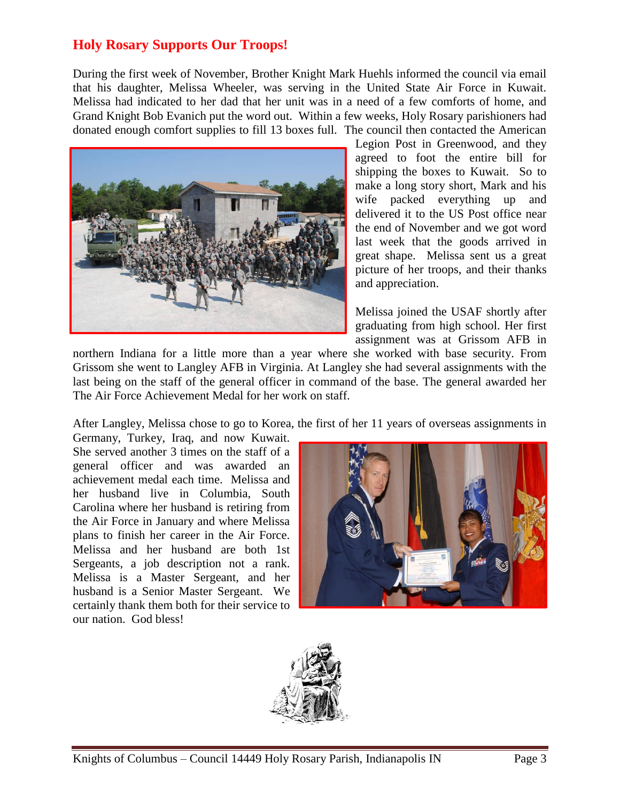## **Holy Rosary Supports Our Troops!**

During the first week of November, Brother Knight Mark Huehls informed the council via email that his daughter, Melissa Wheeler, was serving in the United State Air Force in Kuwait. Melissa had indicated to her dad that her unit was in a need of a few comforts of home, and Grand Knight Bob Evanich put the word out. Within a few weeks, Holy Rosary parishioners had donated enough comfort supplies to fill 13 boxes full. The council then contacted the American



Legion Post in Greenwood, and they agreed to foot the entire bill for shipping the boxes to Kuwait. So to make a long story short, Mark and his wife packed everything up and delivered it to the US Post office near the end of November and we got word last week that the goods arrived in great shape. Melissa sent us a great picture of her troops, and their thanks and appreciation.

Melissa joined the USAF shortly after graduating from high school. Her first assignment was at Grissom AFB in

northern Indiana for a little more than a year where she worked with base security. From Grissom she went to Langley AFB in Virginia. At Langley she had several assignments with the last being on the staff of the general officer in command of the base. The general awarded her The Air Force Achievement Medal for her work on staff.

After Langley, Melissa chose to go to Korea, the first of her 11 years of overseas assignments in

Germany, Turkey, Iraq, and now Kuwait. She served another 3 times on the staff of a general officer and was awarded an achievement medal each time. Melissa and her husband live in Columbia, South Carolina where her husband is retiring from the Air Force in January and where Melissa plans to finish her career in the Air Force. Melissa and her husband are both 1st Sergeants, a job description not a rank. Melissa is a Master Sergeant, and her husband is a Senior Master Sergeant. We certainly thank them both for their service to our nation. God bless!



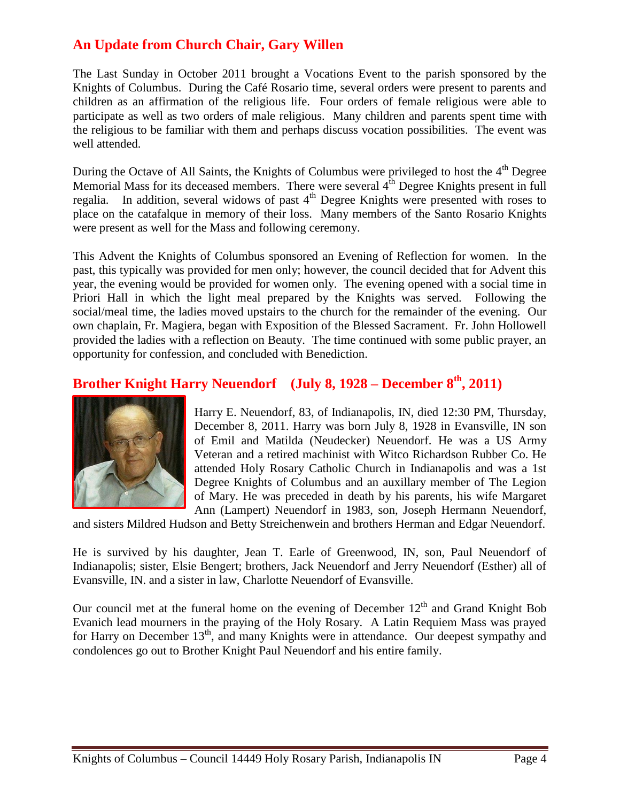# **An Update from Church Chair, Gary Willen**

The Last Sunday in October 2011 brought a Vocations Event to the parish sponsored by the Knights of Columbus. During the Café Rosario time, several orders were present to parents and children as an affirmation of the religious life. Four orders of female religious were able to participate as well as two orders of male religious. Many children and parents spent time with the religious to be familiar with them and perhaps discuss vocation possibilities. The event was well attended.

During the Octave of All Saints, the Knights of Columbus were privileged to host the 4<sup>th</sup> Degree Memorial Mass for its deceased members. There were several  $4<sup>th</sup>$  Degree Knights present in full regalia. In addition, several widows of past  $4<sup>th</sup>$  Degree Knights were presented with roses to place on the catafalque in memory of their loss. Many members of the Santo Rosario Knights were present as well for the Mass and following ceremony.

This Advent the Knights of Columbus sponsored an Evening of Reflection for women. In the past, this typically was provided for men only; however, the council decided that for Advent this year, the evening would be provided for women only. The evening opened with a social time in Priori Hall in which the light meal prepared by the Knights was served. Following the social/meal time, the ladies moved upstairs to the church for the remainder of the evening. Our own chaplain, Fr. Magiera, began with Exposition of the Blessed Sacrament. Fr. John Hollowell provided the ladies with a reflection on Beauty. The time continued with some public prayer, an opportunity for confession, and concluded with Benediction.

## **Brother Knight Harry Neuendorf (July 8, 1928 – December 8th, 2011)**



Harry E. Neuendorf, 83, of Indianapolis, IN, died 12:30 PM, Thursday, December 8, 2011. Harry was born July 8, 1928 in Evansville, IN son of Emil and Matilda (Neudecker) Neuendorf. He was a US Army Veteran and a retired machinist with Witco Richardson Rubber Co. He attended Holy Rosary Catholic Church in Indianapolis and was a 1st Degree Knights of Columbus and an auxillary member of The Legion of Mary. He was preceded in death by his parents, his wife Margaret Ann (Lampert) Neuendorf in 1983, son, Joseph Hermann Neuendorf,

and sisters Mildred Hudson and Betty Streichenwein and brothers Herman and Edgar Neuendorf.

He is survived by his daughter, Jean T. Earle of Greenwood, IN, son, Paul Neuendorf of Indianapolis; sister, Elsie Bengert; brothers, Jack Neuendorf and Jerry Neuendorf (Esther) all of Evansville, IN. and a sister in law, Charlotte Neuendorf of Evansville.

Our council met at the funeral home on the evening of December  $12<sup>th</sup>$  and Grand Knight Bob Evanich lead mourners in the praying of the Holy Rosary. A Latin Requiem Mass was prayed for Harry on December 13<sup>th</sup>, and many Knights were in attendance. Our deepest sympathy and condolences go out to Brother Knight Paul Neuendorf and his entire family.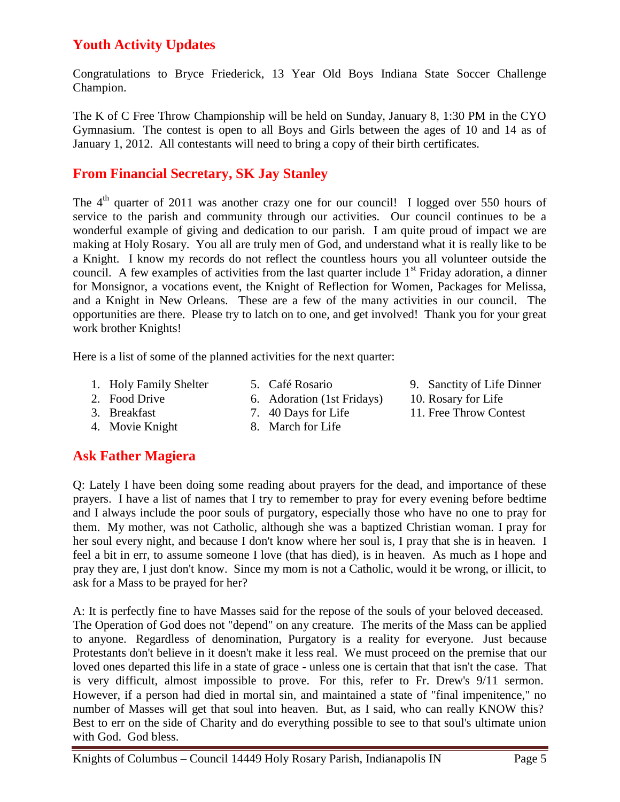# **Youth Activity Updates**

Congratulations to Bryce Friederick, 13 Year Old Boys Indiana State Soccer Challenge Champion.

The K of C Free Throw Championship will be held on Sunday, January 8, 1:30 PM in the CYO Gymnasium. The contest is open to all Boys and Girls between the ages of 10 and 14 as of January 1, 2012. All contestants will need to bring a copy of their birth certificates.

## **From Financial Secretary, SK Jay Stanley**

The  $4<sup>th</sup>$  quarter of 2011 was another crazy one for our council! I logged over 550 hours of service to the parish and community through our activities. Our council continues to be a wonderful example of giving and dedication to our parish. I am quite proud of impact we are making at Holy Rosary. You all are truly men of God, and understand what it is really like to be a Knight. I know my records do not reflect the countless hours you all volunteer outside the council. A few examples of activities from the last quarter include  $1<sup>st</sup>$  Friday adoration, a dinner for Monsignor, a vocations event, the Knight of Reflection for Women, Packages for Melissa, and a Knight in New Orleans. These are a few of the many activities in our council. The opportunities are there. Please try to latch on to one, and get involved! Thank you for your great work brother Knights!

Here is a list of some of the planned activities for the next quarter:

- 1. Holy Family Shelter
- 5. Café Rosario 6. Adoration (1st Fridays)
- 2. Food Drive 3. Breakfast
- 4. Movie Knight
- 7. 40 Days for Life
- 8. March for Life
- 9. Sanctity of Life Dinner
- 10. Rosary for Life
- 11. Free Throw Contest

## **Ask Father Magiera**

Q: Lately I have been doing some reading about prayers for the dead, and importance of these prayers. I have a list of names that I try to remember to pray for every evening before bedtime and I always include the poor souls of purgatory, especially those who have no one to pray for them. My mother, was not Catholic, although she was a baptized Christian woman. I pray for her soul every night, and because I don't know where her soul is, I pray that she is in heaven. I feel a bit in err, to assume someone I love (that has died), is in heaven. As much as I hope and pray they are, I just don't know. Since my mom is not a Catholic, would it be wrong, or illicit, to ask for a Mass to be prayed for her?

A: It is perfectly fine to have Masses said for the repose of the souls of your beloved deceased. The Operation of God does not "depend" on any creature. The merits of the Mass can be applied to anyone. Regardless of denomination, Purgatory is a reality for everyone. Just because Protestants don't believe in it doesn't make it less real. We must proceed on the premise that our loved ones departed this life in a state of grace - unless one is certain that that isn't the case. That is very difficult, almost impossible to prove. For this, refer to Fr. Drew's 9/11 sermon. However, if a person had died in mortal sin, and maintained a state of "final impenitence," no number of Masses will get that soul into heaven. But, as I said, who can really KNOW this? Best to err on the side of Charity and do everything possible to see to that soul's ultimate union with God. God bless.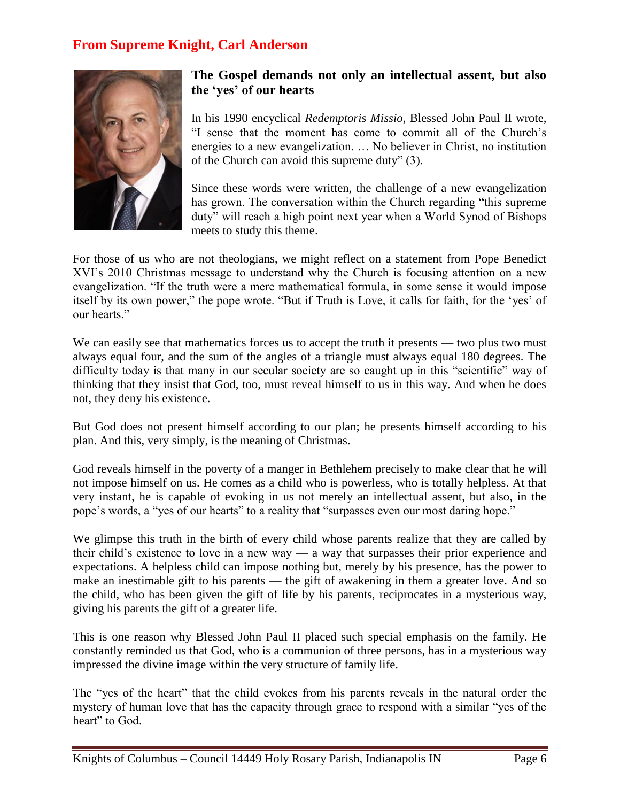## **From Supreme Knight, Carl Anderson**



#### **The Gospel demands not only an intellectual assent, but also the 'yes' of our hearts**

In his 1990 encyclical *Redemptoris Missio*, Blessed John Paul II wrote, ―I sense that the moment has come to commit all of the Church's energies to a new evangelization. … No believer in Christ, no institution of the Church can avoid this supreme duty"  $(3)$ .

Since these words were written, the challenge of a new evangelization has grown. The conversation within the Church regarding "this supreme" duty" will reach a high point next year when a World Synod of Bishops meets to study this theme.

For those of us who are not theologians, we might reflect on a statement from Pope Benedict XVI's 2010 Christmas message to understand why the Church is focusing attention on a new evangelization. "If the truth were a mere mathematical formula, in some sense it would impose itself by its own power," the pope wrote. "But if Truth is Love, it calls for faith, for the 'yes' of our hearts."

We can easily see that mathematics forces us to accept the truth it presents — two plus two must always equal four, and the sum of the angles of a triangle must always equal 180 degrees. The difficulty today is that many in our secular society are so caught up in this "scientific" way of thinking that they insist that God, too, must reveal himself to us in this way. And when he does not, they deny his existence.

But God does not present himself according to our plan; he presents himself according to his plan. And this, very simply, is the meaning of Christmas.

God reveals himself in the poverty of a manger in Bethlehem precisely to make clear that he will not impose himself on us. He comes as a child who is powerless, who is totally helpless. At that very instant, he is capable of evoking in us not merely an intellectual assent, but also, in the pope's words, a "yes of our hearts" to a reality that "surpasses even our most daring hope."

We glimpse this truth in the birth of every child whose parents realize that they are called by their child's existence to love in a new way — a way that surpasses their prior experience and expectations. A helpless child can impose nothing but, merely by his presence, has the power to make an inestimable gift to his parents — the gift of awakening in them a greater love. And so the child, who has been given the gift of life by his parents, reciprocates in a mysterious way, giving his parents the gift of a greater life.

This is one reason why Blessed John Paul II placed such special emphasis on the family. He constantly reminded us that God, who is a communion of three persons, has in a mysterious way impressed the divine image within the very structure of family life.

The "yes of the heart" that the child evokes from his parents reveals in the natural order the mystery of human love that has the capacity through grace to respond with a similar "yes of the heart" to God.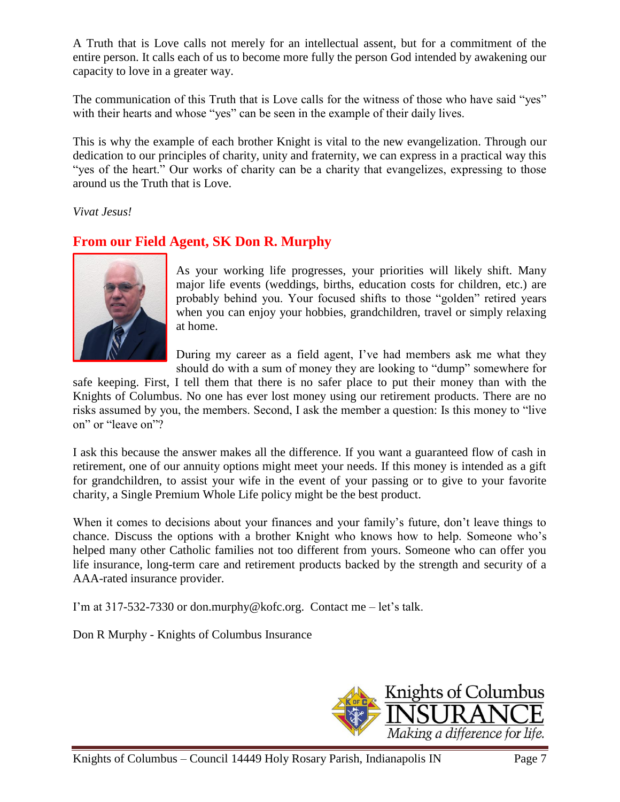A Truth that is Love calls not merely for an intellectual assent, but for a commitment of the entire person. It calls each of us to become more fully the person God intended by awakening our capacity to love in a greater way.

The communication of this Truth that is Love calls for the witness of those who have said "yes" with their hearts and whose "yes" can be seen in the example of their daily lives.

This is why the example of each brother Knight is vital to the new evangelization. Through our dedication to our principles of charity, unity and fraternity, we can express in a practical way this "yes of the heart." Our works of charity can be a charity that evangelizes, expressing to those around us the Truth that is Love.

*Vivat Jesus!*

# **From our Field Agent, SK Don R. Murphy**



As your working life progresses, your priorities will likely shift. Many major life events (weddings, births, education costs for children, etc.) are probably behind you. Your focused shifts to those "golden" retired years when you can enjoy your hobbies, grandchildren, travel or simply relaxing at home.

During my career as a field agent, I've had members ask me what they should do with a sum of money they are looking to "dump" somewhere for

safe keeping. First, I tell them that there is no safer place to put their money than with the Knights of Columbus. No one has ever lost money using our retirement products. There are no risks assumed by you, the members. Second, I ask the member a question: Is this money to "live" on" or "leave on"?

I ask this because the answer makes all the difference. If you want a guaranteed flow of cash in retirement, one of our annuity options might meet your needs. If this money is intended as a gift for grandchildren, to assist your wife in the event of your passing or to give to your favorite charity, a Single Premium Whole Life policy might be the best product.

When it comes to decisions about your finances and your family's future, don't leave things to chance. Discuss the options with a brother Knight who knows how to help. Someone who's helped many other Catholic families not too different from yours. Someone who can offer you life insurance, long-term care and retirement products backed by the strength and security of a AAA-rated insurance provider.

I'm at 317-532-7330 or don.murphy@kofc.org. Contact me – let's talk.

Don R Murphy - Knights of Columbus Insurance

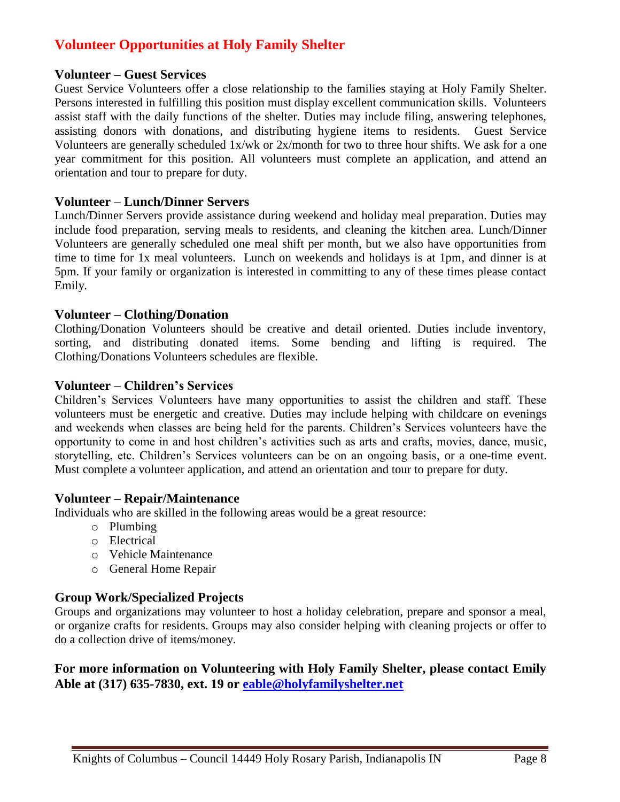## **Volunteer Opportunities at Holy Family Shelter**

#### **Volunteer – Guest Services**

Guest Service Volunteers offer a close relationship to the families staying at Holy Family Shelter. Persons interested in fulfilling this position must display excellent communication skills. Volunteers assist staff with the daily functions of the shelter. Duties may include filing, answering telephones, assisting donors with donations, and distributing hygiene items to residents. Guest Service Volunteers are generally scheduled 1x/wk or 2x/month for two to three hour shifts. We ask for a one year commitment for this position. All volunteers must complete an application, and attend an orientation and tour to prepare for duty.

#### **Volunteer – Lunch/Dinner Servers**

Lunch/Dinner Servers provide assistance during weekend and holiday meal preparation. Duties may include food preparation, serving meals to residents, and cleaning the kitchen area. Lunch/Dinner Volunteers are generally scheduled one meal shift per month, but we also have opportunities from time to time for 1x meal volunteers. Lunch on weekends and holidays is at 1pm, and dinner is at 5pm. If your family or organization is interested in committing to any of these times please contact Emily.

#### **Volunteer – Clothing/Donation**

Clothing/Donation Volunteers should be creative and detail oriented. Duties include inventory, sorting, and distributing donated items. Some bending and lifting is required. The Clothing/Donations Volunteers schedules are flexible.

#### **Volunteer – Children's Services**

Children's Services Volunteers have many opportunities to assist the children and staff. These volunteers must be energetic and creative. Duties may include helping with childcare on evenings and weekends when classes are being held for the parents. Children's Services volunteers have the opportunity to come in and host children's activities such as arts and crafts, movies, dance, music, storytelling, etc. Children's Services volunteers can be on an ongoing basis, or a one-time event. Must complete a volunteer application, and attend an orientation and tour to prepare for duty.

#### **Volunteer – Repair/Maintenance**

Individuals who are skilled in the following areas would be a great resource:

- o Plumbing
- o Electrical
- o Vehicle Maintenance
- o General Home Repair

#### **Group Work/Specialized Projects**

Groups and organizations may volunteer to host a holiday celebration, prepare and sponsor a meal, or organize crafts for residents. Groups may also consider helping with cleaning projects or offer to do a collection drive of items/money.

#### **For more information on Volunteering with Holy Family Shelter, please contact Emily Able at (317) 635-7830, ext. 19 or [eable@holyfamilyshelter.net](mailto:eable@holyfamilyshelter.net)**